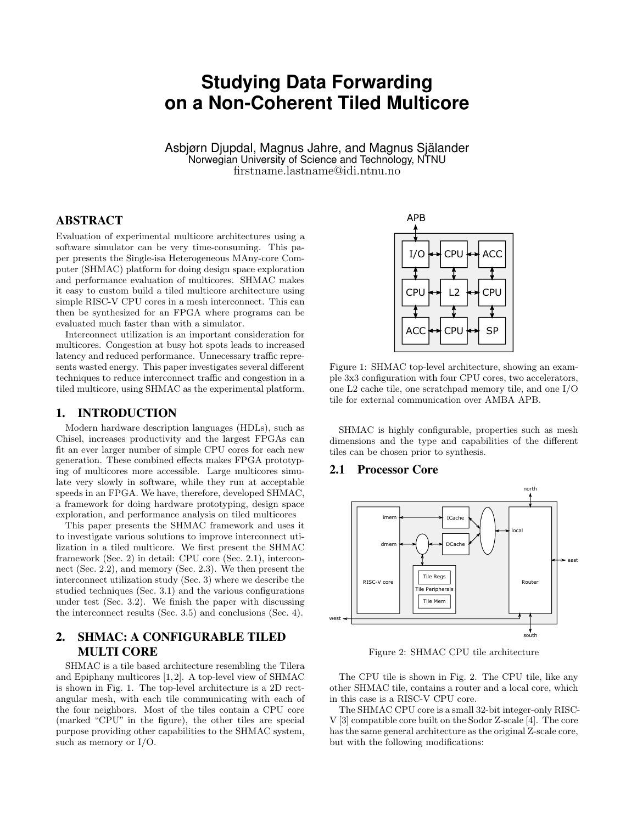# **Studying Data Forwarding on a Non-Coherent Tiled Multicore**

Asbjørn Djupdal, Magnus Jahre, and Magnus Själander Norwegian University of Science and Technology, NTNU firstname.lastname@idi.ntnu.no

## ABSTRACT

Evaluation of experimental multicore architectures using a software simulator can be very time-consuming. This paper presents the Single-isa Heterogeneous MAny-core Computer (SHMAC) platform for doing design space exploration and performance evaluation of multicores. SHMAC makes it easy to custom build a tiled multicore architecture using simple RISC-V CPU cores in a mesh interconnect. This can then be synthesized for an FPGA where programs can be evaluated much faster than with a simulator.

Interconnect utilization is an important consideration for multicores. Congestion at busy hot spots leads to increased latency and reduced performance. Unnecessary traffic represents wasted energy. This paper investigates several different techniques to reduce interconnect traffic and congestion in a tiled multicore, using SHMAC as the experimental platform.

#### 1. INTRODUCTION

Modern hardware description languages (HDLs), such as Chisel, increases productivity and the largest FPGAs can fit an ever larger number of simple CPU cores for each new generation. These combined effects makes FPGA prototyping of multicores more accessible. Large multicores simulate very slowly in software, while they run at acceptable speeds in an FPGA. We have, therefore, developed SHMAC, a framework for doing hardware prototyping, design space exploration, and performance analysis on tiled multicores

This paper presents the SHMAC framework and uses it to investigate various solutions to improve interconnect utilization in a tiled multicore. We first present the SHMAC framework (Sec. 2) in detail: CPU core (Sec. 2.1), interconnect (Sec. 2.2), and memory (Sec. 2.3). We then present the interconnect utilization study (Sec. 3) where we describe the studied techniques (Sec. 3.1) and the various configurations under test (Sec. 3.2). We finish the paper with discussing the interconnect results (Sec. 3.5) and conclusions (Sec. 4).

# 2. SHMAC: A CONFIGURABLE TILED MULTI CORE

SHMAC is a tile based architecture resembling the Tilera and Epiphany multicores [1, 2]. A top-level view of SHMAC is shown in Fig. 1. The top-level architecture is a 2D rectangular mesh, with each tile communicating with each of the four neighbors. Most of the tiles contain a CPU core (marked "CPU" in the figure), the other tiles are special purpose providing other capabilities to the SHMAC system, such as memory or I/O.



Figure 1: SHMAC top-level architecture, showing an example 3x3 configuration with four CPU cores, two accelerators, one L2 cache tile, one scratchpad memory tile, and one I/O tile for external communication over AMBA APB.

SHMAC is highly configurable, properties such as mesh dimensions and the type and capabilities of the different tiles can be chosen prior to synthesis.

## 2.1 Processor Core



Figure 2: SHMAC CPU tile architecture

The CPU tile is shown in Fig. 2. The CPU tile, like any other SHMAC tile, contains a router and a local core, which in this case is a RISC-V CPU core.

The SHMAC CPU core is a small 32-bit integer-only RISC-V [3] compatible core built on the Sodor Z-scale [4]. The core has the same general architecture as the original Z-scale core, but with the following modifications: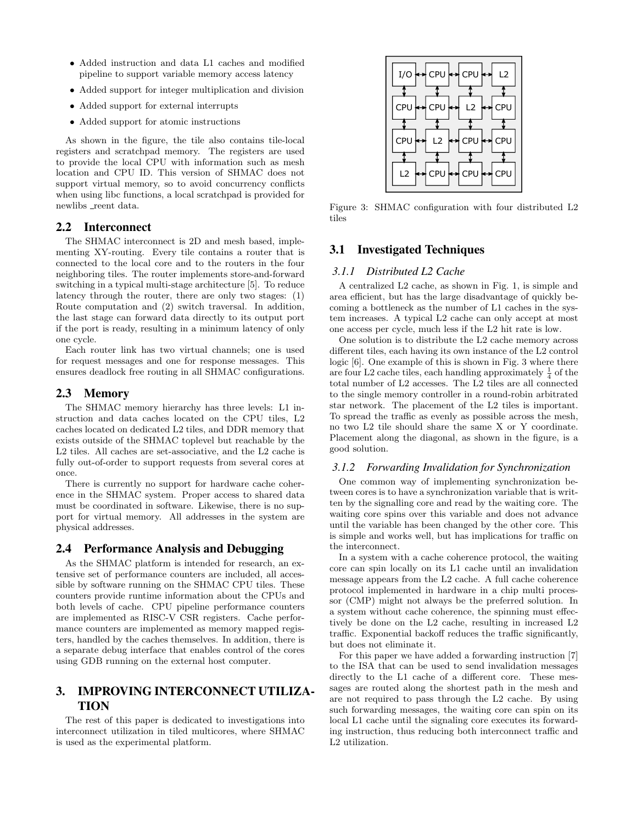- Added instruction and data L1 caches and modified pipeline to support variable memory access latency
- Added support for integer multiplication and division
- Added support for external interrupts
- Added support for atomic instructions

As shown in the figure, the tile also contains tile-local registers and scratchpad memory. The registers are used to provide the local CPU with information such as mesh location and CPU ID. This version of SHMAC does not support virtual memory, so to avoid concurrency conflicts when using libc functions, a local scratchpad is provided for newlibs  $\verb|.|$  reent data.

#### 2.2 Interconnect

The SHMAC interconnect is 2D and mesh based, implementing XY-routing. Every tile contains a router that is connected to the local core and to the routers in the four neighboring tiles. The router implements store-and-forward switching in a typical multi-stage architecture [5]. To reduce latency through the router, there are only two stages: (1) Route computation and (2) switch traversal. In addition, the last stage can forward data directly to its output port if the port is ready, resulting in a minimum latency of only one cycle.

Each router link has two virtual channels; one is used for request messages and one for response messages. This ensures deadlock free routing in all SHMAC configurations.

## 2.3 Memory

The SHMAC memory hierarchy has three levels: L1 instruction and data caches located on the CPU tiles, L2 caches located on dedicated L2 tiles, and DDR memory that exists outside of the SHMAC toplevel but reachable by the L2 tiles. All caches are set-associative, and the L2 cache is fully out-of-order to support requests from several cores at once.

There is currently no support for hardware cache coherence in the SHMAC system. Proper access to shared data must be coordinated in software. Likewise, there is no support for virtual memory. All addresses in the system are physical addresses.

## 2.4 Performance Analysis and Debugging

As the SHMAC platform is intended for research, an extensive set of performance counters are included, all accessible by software running on the SHMAC CPU tiles. These counters provide runtime information about the CPUs and both levels of cache. CPU pipeline performance counters are implemented as RISC-V CSR registers. Cache performance counters are implemented as memory mapped registers, handled by the caches themselves. In addition, there is a separate debug interface that enables control of the cores using GDB running on the external host computer.

# 3. IMPROVING INTERCONNECT UTILIZA-TION

The rest of this paper is dedicated to investigations into interconnect utilization in tiled multicores, where SHMAC is used as the experimental platform.



Figure 3: SHMAC configuration with four distributed L2 tiles

### 3.1 Investigated Techniques

#### *3.1.1 Distributed L2 Cache*

A centralized L2 cache, as shown in Fig. 1, is simple and area efficient, but has the large disadvantage of quickly becoming a bottleneck as the number of L1 caches in the system increases. A typical L2 cache can only accept at most one access per cycle, much less if the L2 hit rate is low.

One solution is to distribute the L2 cache memory across different tiles, each having its own instance of the L2 control logic [6]. One example of this is shown in Fig. 3 where there are four L2 cache tiles, each handling approximately  $\frac{1}{4}$  of the total number of L2 accesses. The L2 tiles are all connected to the single memory controller in a round-robin arbitrated star network. The placement of the L2 tiles is important. To spread the traffic as evenly as possible across the mesh, no two L2 tile should share the same X or Y coordinate. Placement along the diagonal, as shown in the figure, is a good solution.

#### *3.1.2 Forwarding Invalidation for Synchronization*

One common way of implementing synchronization between cores is to have a synchronization variable that is written by the signalling core and read by the waiting core. The waiting core spins over this variable and does not advance until the variable has been changed by the other core. This is simple and works well, but has implications for traffic on the interconnect.

In a system with a cache coherence protocol, the waiting core can spin locally on its L1 cache until an invalidation message appears from the L2 cache. A full cache coherence protocol implemented in hardware in a chip multi processor (CMP) might not always be the preferred solution. In a system without cache coherence, the spinning must effectively be done on the L2 cache, resulting in increased L2 traffic. Exponential backoff reduces the traffic significantly, but does not eliminate it.

For this paper we have added a forwarding instruction [7] to the ISA that can be used to send invalidation messages directly to the L1 cache of a different core. These messages are routed along the shortest path in the mesh and are not required to pass through the L2 cache. By using such forwarding messages, the waiting core can spin on its local L1 cache until the signaling core executes its forwarding instruction, thus reducing both interconnect traffic and L2 utilization.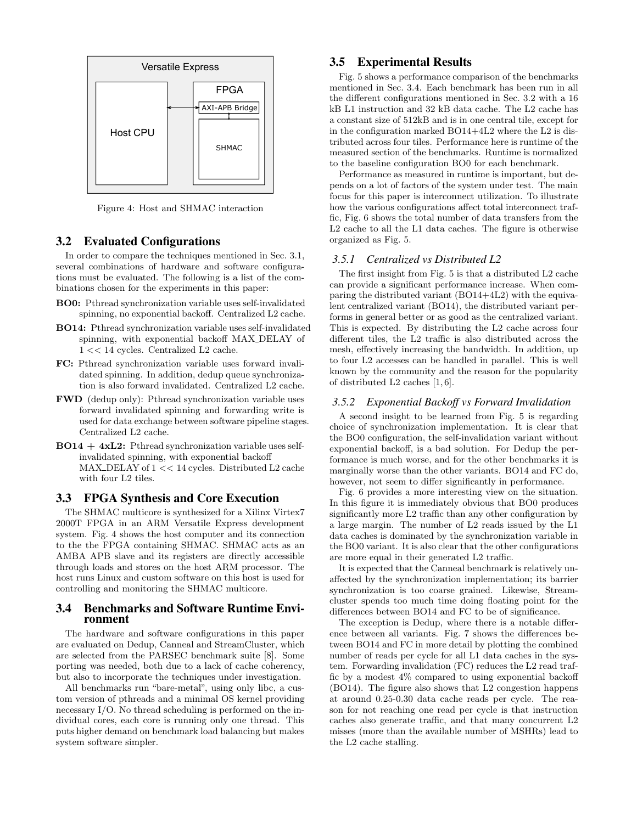

Figure 4: Host and SHMAC interaction

#### 3.2 Evaluated Configurations

In order to compare the techniques mentioned in Sec. 3.1, several combinations of hardware and software configurations must be evaluated. The following is a list of the combinations chosen for the experiments in this paper:

- BO0: Pthread synchronization variable uses self-invalidated spinning, no exponential backoff. Centralized L2 cache.
- BO14: Pthread synchronization variable uses self-invalidated spinning, with exponential backoff MAX\_DELAY of 1 << 14 cycles. Centralized L2 cache.
- FC: Pthread synchronization variable uses forward invalidated spinning. In addition, dedup queue synchronization is also forward invalidated. Centralized L2 cache.
- FWD (dedup only): Pthread synchronization variable uses forward invalidated spinning and forwarding write is used for data exchange between software pipeline stages. Centralized L2 cache.
- $BO14 + 4xL2$ : Pthread synchronization variable uses selfinvalidated spinning, with exponential backoff MAX DELAY of 1 << 14 cycles. Distributed L2 cache with four L2 tiles.

### 3.3 FPGA Synthesis and Core Execution

The SHMAC multicore is synthesized for a Xilinx Virtex7 2000T FPGA in an ARM Versatile Express development system. Fig. 4 shows the host computer and its connection to the the FPGA containing SHMAC. SHMAC acts as an AMBA APB slave and its registers are directly accessible through loads and stores on the host ARM processor. The host runs Linux and custom software on this host is used for controlling and monitoring the SHMAC multicore.

#### 3.4 Benchmarks and Software Runtime Environment

The hardware and software configurations in this paper are evaluated on Dedup, Canneal and StreamCluster, which are selected from the PARSEC benchmark suite [8]. Some porting was needed, both due to a lack of cache coherency, but also to incorporate the techniques under investigation.

All benchmarks run "bare-metal", using only libc, a custom version of pthreads and a minimal OS kernel providing necessary I/O. No thread scheduling is performed on the individual cores, each core is running only one thread. This puts higher demand on benchmark load balancing but makes system software simpler.

## 3.5 Experimental Results

Fig. 5 shows a performance comparison of the benchmarks mentioned in Sec. 3.4. Each benchmark has been run in all the different configurations mentioned in Sec. 3.2 with a 16 kB L1 instruction and 32 kB data cache. The L2 cache has a constant size of 512kB and is in one central tile, except for in the configuration marked BO14+4L2 where the L2 is distributed across four tiles. Performance here is runtime of the measured section of the benchmarks. Runtime is normalized to the baseline configuration BO0 for each benchmark.

Performance as measured in runtime is important, but depends on a lot of factors of the system under test. The main focus for this paper is interconnect utilization. To illustrate how the various configurations affect total interconnect traffic, Fig. 6 shows the total number of data transfers from the L2 cache to all the L1 data caches. The figure is otherwise organized as Fig. 5.

#### *3.5.1 Centralized vs Distributed L2*

The first insight from Fig. 5 is that a distributed L2 cache can provide a significant performance increase. When comparing the distributed variant (BO14+4L2) with the equivalent centralized variant (BO14), the distributed variant performs in general better or as good as the centralized variant. This is expected. By distributing the L2 cache across four different tiles, the L2 traffic is also distributed across the mesh, effectively increasing the bandwidth. In addition, up to four L2 accesses can be handled in parallel. This is well known by the community and the reason for the popularity of distributed L2 caches [1, 6].

#### *3.5.2 Exponential Backoff vs Forward Invalidation*

A second insight to be learned from Fig. 5 is regarding choice of synchronization implementation. It is clear that the BO0 configuration, the self-invalidation variant without exponential backoff, is a bad solution. For Dedup the performance is much worse, and for the other benchmarks it is marginally worse than the other variants. BO14 and FC do, however, not seem to differ significantly in performance.

Fig. 6 provides a more interesting view on the situation. In this figure it is immediately obvious that BO0 produces significantly more L2 traffic than any other configuration by a large margin. The number of L2 reads issued by the L1 data caches is dominated by the synchronization variable in the BO0 variant. It is also clear that the other configurations are more equal in their generated L2 traffic.

It is expected that the Canneal benchmark is relatively unaffected by the synchronization implementation; its barrier synchronization is too coarse grained. Likewise, Streamcluster spends too much time doing floating point for the differences between BO14 and FC to be of significance.

The exception is Dedup, where there is a notable difference between all variants. Fig. 7 shows the differences between BO14 and FC in more detail by plotting the combined number of reads per cycle for all L1 data caches in the system. Forwarding invalidation (FC) reduces the L2 read traffic by a modest 4% compared to using exponential backoff (BO14). The figure also shows that L2 congestion happens at around 0.25-0.30 data cache reads per cycle. The reason for not reaching one read per cycle is that instruction caches also generate traffic, and that many concurrent L2 misses (more than the available number of MSHRs) lead to the L2 cache stalling.